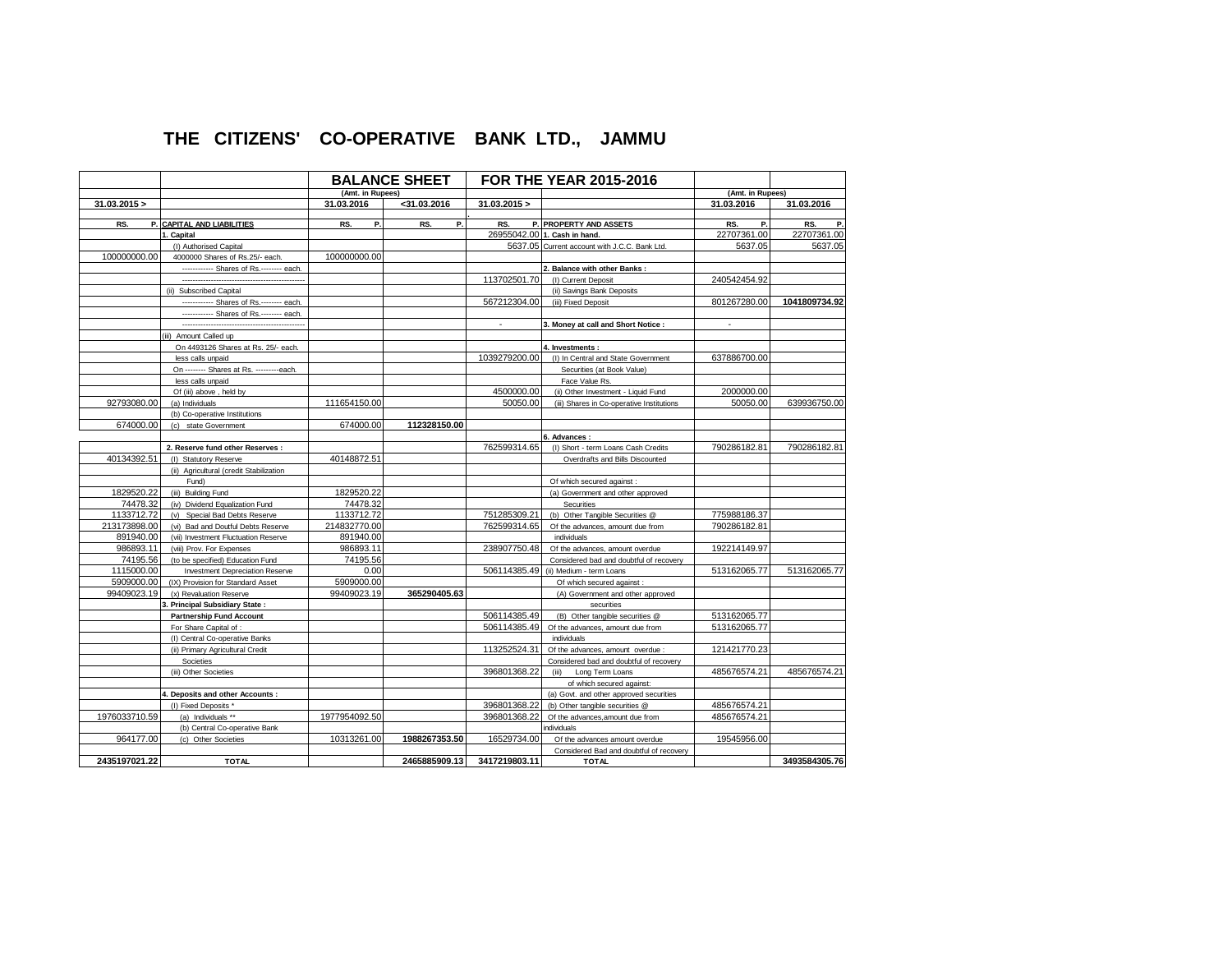## **THE CITIZENS' CO-OPERATIVE BANK LTD., JAMMU**

| <b>BALANCE SHEET</b> |                                          |                  | <b>FOR THE YEAR 2015-2016</b> |               |                                               |                  |               |
|----------------------|------------------------------------------|------------------|-------------------------------|---------------|-----------------------------------------------|------------------|---------------|
|                      |                                          | (Amt. in Rupees) |                               |               |                                               | (Amt. in Rupees) |               |
| 31.03.2015 >         |                                          | 31.03.2016       | $<$ 31.03.2016                | 31.03.2015 >  |                                               | 31.03.2016       | 31.03.2016    |
| RS.                  | P. CAPITAL AND LIABILITIES               | Ρ.<br>RS.        | RS.<br>Р.                     | RS.           | P. PROPERTY AND ASSETS                        | RS.<br>P.        | P.<br>RS.     |
|                      | 1. Capital                               |                  |                               |               | 26955042.00 1. Cash in hand.                  | 22707361.00      | 22707361.00   |
|                      | (I) Authorised Capital                   |                  |                               |               | 5637.05 Current account with J.C.C. Bank Ltd. | 5637.05          | 5637.05       |
| 100000000.00         | 4000000 Shares of Rs.25/- each.          | 100000000.00     |                               |               |                                               |                  |               |
|                      | ------------ Shares of Rs.------- each.  |                  |                               |               | 2. Balance with other Banks:                  |                  |               |
|                      |                                          |                  |                               | 113702501.70  | (I) Current Deposit                           | 240542454.92     |               |
|                      | (ii) Subscribed Capital                  |                  |                               |               | (ii) Savings Bank Deposits                    |                  |               |
|                      | ------------ Shares of Rs.------- each.  |                  |                               | 567212304.00  | (iii) Fixed Deposit                           | 801267280.00     | 1041809734.92 |
|                      | ------------ Shares of Rs.-------- each. |                  |                               |               |                                               |                  |               |
|                      |                                          |                  |                               |               | 3. Money at call and Short Notice :           |                  |               |
|                      | Amount Called up<br>(iii)                |                  |                               |               |                                               |                  |               |
|                      | On 4493126 Shares at Rs. 25/- each.      |                  |                               |               | 4. Investments:                               |                  |               |
|                      | less calls unpaid                        |                  |                               | 1039279200.00 | (I) In Central and State Government           | 637886700.00     |               |
|                      | On -------- Shares at Rs. ---------each. |                  |                               |               | Securities (at Book Value)                    |                  |               |
|                      | less calls unpaid                        |                  |                               |               | Face Value Rs.                                |                  |               |
|                      | Of (iii) above, held by                  |                  |                               | 4500000.00    | (ii) Other Investment - Liquid Fund           | 2000000.00       |               |
| 92793080.00          | (a) Individuals                          | 111654150.00     |                               | 50050.00      | (iii) Shares in Co-operative Institutions     | 50050.00         | 639936750.00  |
|                      | (b) Co-operative Institutions            |                  |                               |               |                                               |                  |               |
| 674000.00            | (c) state Government                     | 674000.00        | 112328150.00                  |               |                                               |                  |               |
|                      |                                          |                  |                               |               | 6. Advances:                                  |                  |               |
|                      | 2. Reserve fund other Reserves :         |                  |                               | 762599314.65  | (I) Short - term Loans Cash Credits           | 790286182.81     | 790286182.81  |
| 40134392.51          | (I) Statutory Reserve                    | 40148872.51      |                               |               | Overdrafts and Bills Discounted               |                  |               |
|                      | (ii) Agricultural (credit Stabilization  |                  |                               |               |                                               |                  |               |
|                      | Fund)                                    |                  |                               |               | Of which secured against :                    |                  |               |
| 1829520.22           | (iii) Building Fund                      | 1829520.22       |                               |               | (a) Government and other approved             |                  |               |
| 74478.32             | (iv) Dividend Equalization Fund          | 74478.32         |                               |               | Securities                                    |                  |               |
| 1133712.72           | (v) Special Bad Debts Reserve            | 1133712.72       |                               | 751285309.21  | (b) Other Tangible Securities @               | 775988186.37     |               |
| 213173898.00         | (vi) Bad and Doutful Debts Reserve       | 214832770.00     |                               | 762599314.65  | Of the advances, amount due from              | 790286182.81     |               |
| 891940.00            | (vii) Investment Fluctuation Reserve     | 891940.00        |                               |               | individuals                                   |                  |               |
| 986893.11            | (viii) Prov. For Expenses                | 986893.11        |                               | 238907750.48  | Of the advances, amount overdue               | 192214149.97     |               |
| 74195.56             | (to be specified) Education Fund         | 74195.56         |                               |               | Considered bad and doubtful of recovery       |                  |               |
| 1115000.00           | <b>Investment Depreciation Reserve</b>   | 0.00             |                               | 506114385.49  | (ii) Medium - term Loans                      | 513162065.77     | 513162065.77  |
| 5909000.00           | (IX) Provision for Standard Asset        | 5909000.00       |                               |               | Of which secured against:                     |                  |               |
| 99409023.19          | (x) Revaluation Reserve                  | 99409023.19      | 365290405.63                  |               | (A) Government and other approved             |                  |               |
|                      | <b>Principal Subsidiary State:</b>       |                  |                               |               | securities                                    |                  |               |
|                      | <b>Partnership Fund Account</b>          |                  |                               | 506114385.49  | (B) Other tangible securities @               | 513162065.77     |               |
|                      | For Share Capital of :                   |                  |                               | 506114385.49  | Of the advances, amount due from              | 513162065.77     |               |
|                      | (I) Central Co-operative Banks           |                  |                               |               | individuals                                   |                  |               |
|                      | (ii) Primary Agricultural Credit         |                  |                               | 113252524.31  | Of the advances, amount overdue :             | 121421770.23     |               |
|                      | Societies                                |                  |                               |               | Considered bad and doubtful of recovery       |                  |               |
|                      | (iii) Other Societies                    |                  |                               | 396801368.22  | (iii) Long Term Loans                         | 485676574.21     | 485676574.21  |
|                      |                                          |                  |                               |               | of which secured against:                     |                  |               |
|                      | 4. Deposits and other Accounts :         |                  |                               |               | (a) Govt. and other approved securities       |                  |               |
|                      | (I) Fixed Deposits *                     |                  |                               | 396801368.22  | (b) Other tangible securities @               | 485676574.21     |               |
| 1976033710.59        | (a) Individuals **                       | 1977954092.50    |                               | 396801368.22  | Of the advances, amount due from              | 485676574.21     |               |
|                      | (b) Central Co-operative Bank            |                  |                               |               | ndividuals                                    |                  |               |
| 964177.00            | (c) Other Societies                      | 10313261.00      | 1988267353.50                 | 16529734.00   | Of the advances amount overdue                | 19545956.00      |               |
|                      |                                          |                  |                               |               | Considered Bad and doubtful of recovery       |                  |               |
| 2435197021.22        | <b>TOTAL</b>                             |                  | 2465885909.13                 | 3417219803.11 | <b>TOTAL</b>                                  |                  | 3493584305.76 |
|                      |                                          |                  |                               |               |                                               |                  |               |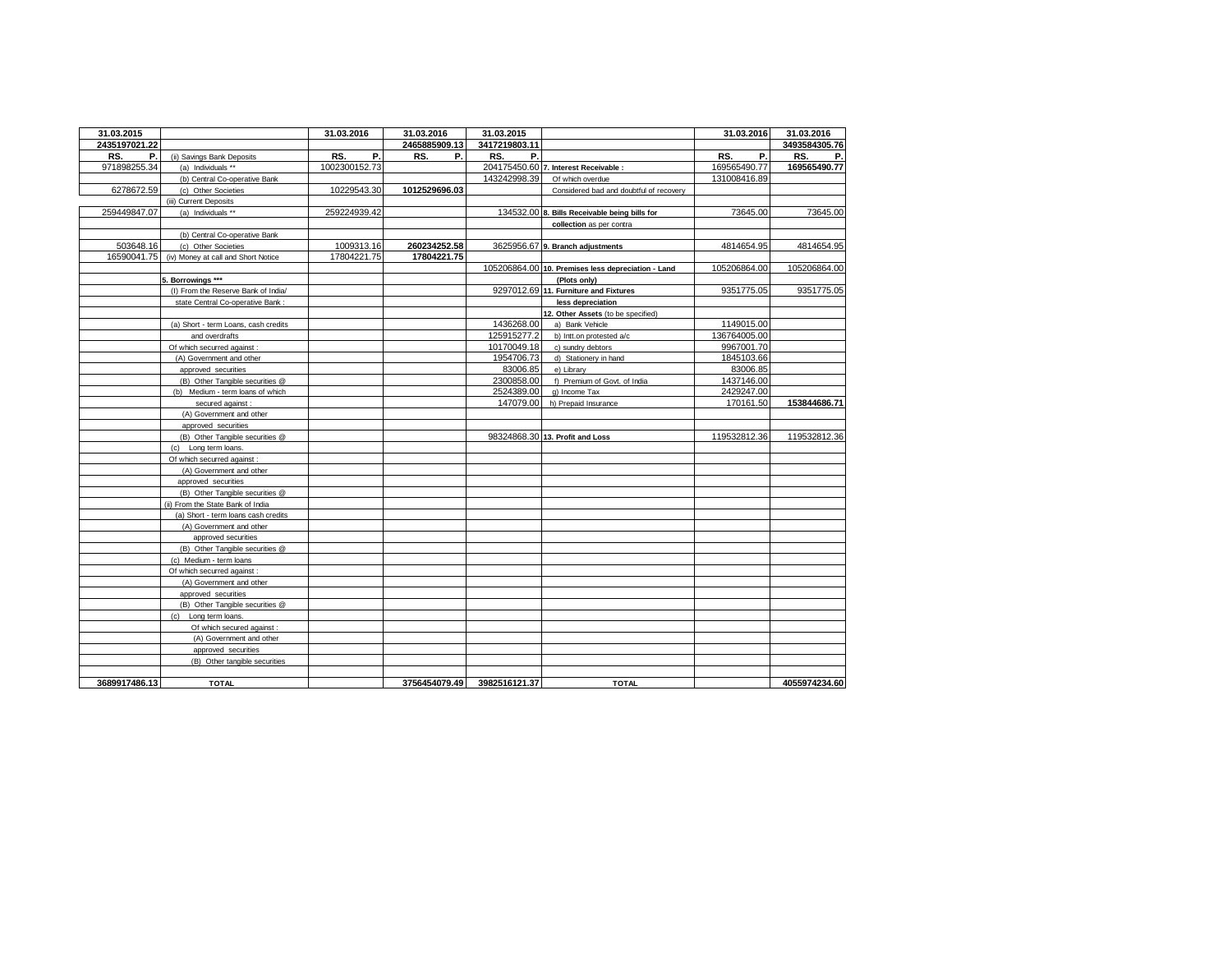| 31.03.2015    |                                      | 31.03.2016    | 31.03.2016    | 31.03.2015                  |                                                    | 31.03.2016   | 31.03.2016    |
|---------------|--------------------------------------|---------------|---------------|-----------------------------|----------------------------------------------------|--------------|---------------|
| 2435197021.22 |                                      |               | 2465885909.13 | 3417219803.11               |                                                    |              | 3493584305.76 |
| RS.<br>Р.     | (ii) Savings Bank Deposits           | Ρ.<br>RS.     | RS.<br>Р.     | RS.<br>Р.                   |                                                    | RS.<br>Р.    | RS.<br>Р.     |
| 971898255.34  | (a) Individuals **                   | 1002300152.73 |               |                             | 204175450.60 7. Interest Receivable :              | 169565490.77 | 169565490.77  |
|               | (b) Central Co-operative Bank        |               |               | 143242998.39                | Of which overdue                                   | 131008416.89 |               |
| 6278672.59    | (c) Other Societies                  | 10229543.30   | 1012529696.03 |                             | Considered bad and doubtful of recovery            |              |               |
|               | (iii) Current Deposits               |               |               |                             |                                                    |              |               |
| 259449847.07  | (a) Individuals **                   | 259224939.42  |               |                             | 134532.00 8. Bills Receivable being bills for      | 73645.00     | 73645.00      |
|               |                                      |               |               |                             | collection as per contra                           |              |               |
|               | (b) Central Co-operative Bank        |               |               |                             |                                                    |              |               |
| 503648.16     | (c) Other Societies                  | 1009313.16    | 260234252.58  |                             | 3625956.67 9. Branch adjustments                   | 4814654.95   | 4814654.95    |
| 16590041.75   | (iv) Money at call and Short Notice  | 17804221.75   | 17804221.75   |                             |                                                    |              |               |
|               |                                      |               |               |                             | 105206864.00 10. Premises less depreciation - Land | 105206864.00 | 105206864.00  |
|               | 5. Borrowings ***                    |               |               |                             | (Plots only)                                       |              |               |
|               | (I) From the Reserve Bank of India/  |               |               |                             | 9297012.69 11. Furniture and Fixtures              | 9351775.05   | 9351775.05    |
|               | state Central Co-operative Bank:     |               |               |                             | less depreciation                                  |              |               |
|               |                                      |               |               |                             | 12. Other Assets (to be specified)                 |              |               |
|               | (a) Short - term Loans, cash credits |               |               | 1436268.00                  | a) Bank Vehicle                                    | 1149015.00   |               |
|               | and overdrafts                       |               |               | 125915277.2                 | b) Intt.on protested a/c                           | 136764005.00 |               |
|               | Of which securred against :          |               |               | 10170049.18                 | c) sundry debtors                                  | 9967001.70   |               |
|               | (A) Government and other             |               |               | 1954706.73                  | d) Stationery in hand                              | 1845103.66   |               |
|               | approved securities                  |               |               | 83006.85                    | e) Library                                         | 83006.85     |               |
|               | (B) Other Tangible securities @      |               |               | 2300858.00                  | f) Premium of Govt. of India                       | 1437146.00   |               |
|               | (b) Medium - term loans of which     |               |               | 2524389.00                  | g) Income Tax                                      | 2429247.00   |               |
|               | secured against :                    |               |               | 147079.00                   | h) Prepaid Insurance                               | 170161.50    | 153844686.71  |
|               | (A) Government and other             |               |               |                             |                                                    |              |               |
|               | approved securities                  |               |               |                             |                                                    |              |               |
|               | (B) Other Tangible securities @      |               |               |                             | 98324868.30 13. Profit and Loss                    | 119532812.36 | 119532812.36  |
|               | (c) Long term loans.                 |               |               |                             |                                                    |              |               |
|               | Of which securred against :          |               |               |                             |                                                    |              |               |
|               | (A) Government and other             |               |               |                             |                                                    |              |               |
|               | approved securities                  |               |               |                             |                                                    |              |               |
|               | (B) Other Tangible securities @      |               |               |                             |                                                    |              |               |
|               | (ii) From the State Bank of India    |               |               |                             |                                                    |              |               |
|               | (a) Short - term loans cash credits  |               |               |                             |                                                    |              |               |
|               | (A) Government and other             |               |               |                             |                                                    |              |               |
|               | approved securities                  |               |               |                             |                                                    |              |               |
|               | (B) Other Tangible securities @      |               |               |                             |                                                    |              |               |
|               | (c) Medium - term loans              |               |               |                             |                                                    |              |               |
|               | Of which securred against:           |               |               |                             |                                                    |              |               |
|               | (A) Government and other             |               |               |                             |                                                    |              |               |
|               | approved securities                  |               |               |                             |                                                    |              |               |
|               | (B) Other Tangible securities @      |               |               |                             |                                                    |              |               |
|               | (c) Long term loans.                 |               |               |                             |                                                    |              |               |
|               | Of which secured against :           |               |               |                             |                                                    |              |               |
|               | (A) Government and other             |               |               |                             |                                                    |              |               |
|               | approved securities                  |               |               |                             |                                                    |              |               |
|               | (B) Other tangible securities        |               |               |                             |                                                    |              |               |
|               |                                      |               |               |                             |                                                    |              |               |
| 3689917486.13 | <b>TOTAL</b>                         |               |               | 3756454079.49 3982516121.37 | <b>TOTAL</b>                                       |              | 4055974234.60 |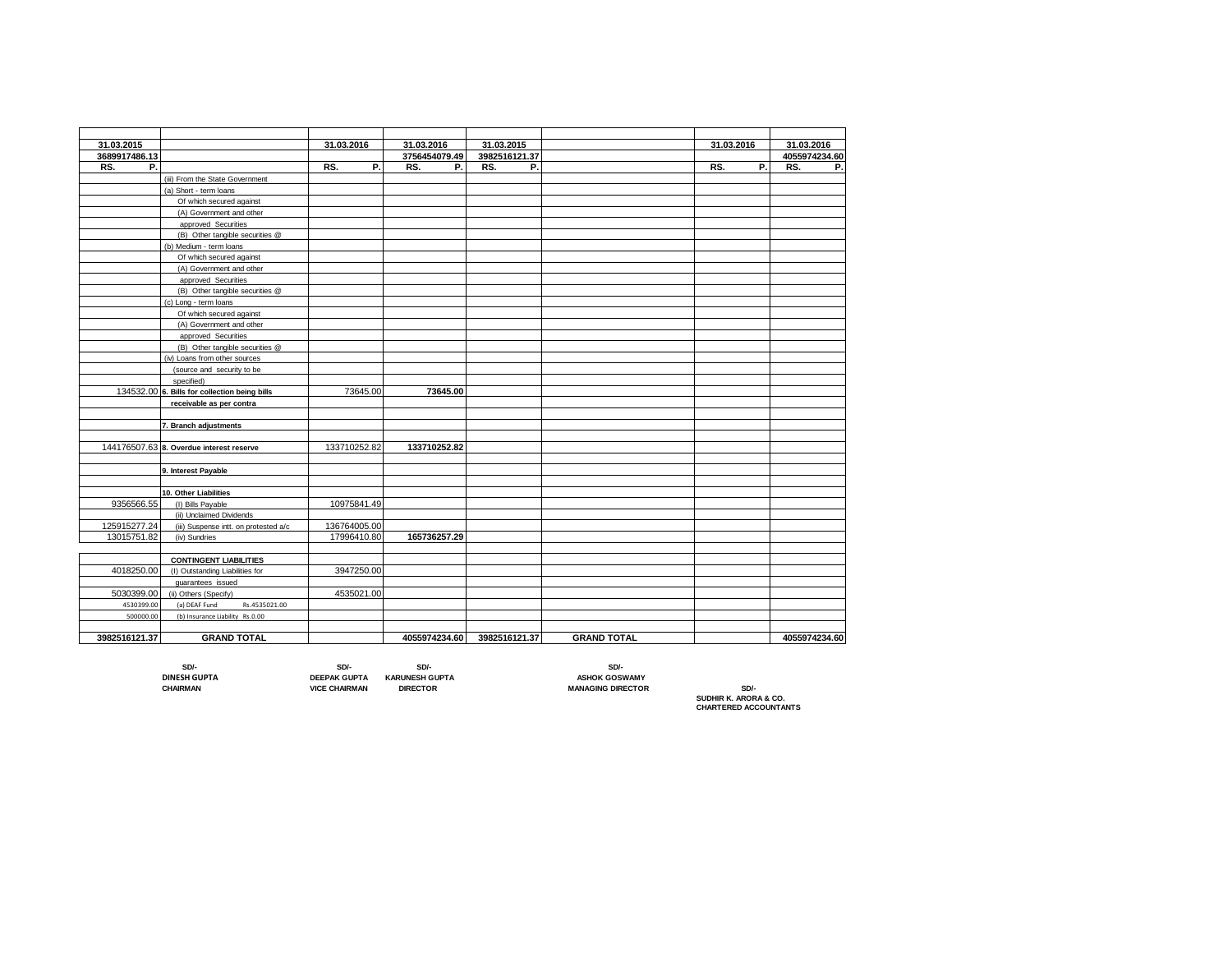| 31.03.2015    |                                               | 31.03.2016   | 31.03.2016    | 31.03.2015    |                    | 31.03.2016 | 31.03.2016    |
|---------------|-----------------------------------------------|--------------|---------------|---------------|--------------------|------------|---------------|
| 3689917486.13 |                                               |              | 3756454079.49 | 3982516121.37 |                    |            | 4055974234.60 |
| RS.<br>Р.     |                                               | P.<br>RS.    | P.<br>RS.     | RS.<br>Р.     |                    | P.<br>RS.  | RS.<br>Р.     |
|               | (iii) From the State Government               |              |               |               |                    |            |               |
|               | (a) Short - term loans                        |              |               |               |                    |            |               |
|               | Of which secured against                      |              |               |               |                    |            |               |
|               | (A) Government and other                      |              |               |               |                    |            |               |
|               | approved Securities                           |              |               |               |                    |            |               |
|               | (B) Other tangible securities @               |              |               |               |                    |            |               |
|               | (b) Medium - term loans                       |              |               |               |                    |            |               |
|               | Of which secured against                      |              |               |               |                    |            |               |
|               | (A) Government and other                      |              |               |               |                    |            |               |
|               | approved Securities                           |              |               |               |                    |            |               |
|               | (B) Other tangible securities @               |              |               |               |                    |            |               |
|               | (c) Long - term loans                         |              |               |               |                    |            |               |
|               | Of which secured against                      |              |               |               |                    |            |               |
|               | (A) Government and other                      |              |               |               |                    |            |               |
|               |                                               |              |               |               |                    |            |               |
|               | approved Securities                           |              |               |               |                    |            |               |
|               | (B) Other tangible securities @               |              |               |               |                    |            |               |
|               | (iv) Loans from other sources                 |              |               |               |                    |            |               |
|               | (source and security to be                    |              |               |               |                    |            |               |
|               | specified)                                    |              |               |               |                    |            |               |
|               | 134532.00 6. Bills for collection being bills | 73645.00     | 73645.00      |               |                    |            |               |
|               | receivable as per contra                      |              |               |               |                    |            |               |
|               |                                               |              |               |               |                    |            |               |
|               | 7. Branch adjustments                         |              |               |               |                    |            |               |
|               |                                               |              |               |               |                    |            |               |
|               | 144176507.63 8. Overdue interest reserve      | 133710252.82 | 133710252.82  |               |                    |            |               |
|               |                                               |              |               |               |                    |            |               |
|               | 9. Interest Payable                           |              |               |               |                    |            |               |
|               |                                               |              |               |               |                    |            |               |
|               | 10. Other Liabilities                         |              |               |               |                    |            |               |
| 9356566.55    | (I) Bills Payable                             | 10975841.49  |               |               |                    |            |               |
|               | (ii) Unclaimed Dividends                      |              |               |               |                    |            |               |
| 125915277.24  | (iii) Suspense intt. on protested a/c         | 136764005.00 |               |               |                    |            |               |
| 13015751.82   | (iv) Sundries                                 | 17996410.80  | 165736257.29  |               |                    |            |               |
|               |                                               |              |               |               |                    |            |               |
|               | <b>CONTINGENT LIABILITIES</b>                 |              |               |               |                    |            |               |
| 4018250.00    | (I) Outstanding Liabilities for               | 3947250.00   |               |               |                    |            |               |
|               | quarantees issued                             |              |               |               |                    |            |               |
| 5030399.00    | (ii) Others (Specify)                         | 4535021.00   |               |               |                    |            |               |
| 4530399.00    | Rs.4535021.00<br>(a) DEAF Fund                |              |               |               |                    |            |               |
| 500000.00     | (b) Insurance Liability Rs.0.00               |              |               |               |                    |            |               |
|               |                                               |              |               |               |                    |            |               |
| 3982516121.37 | <b>GRAND TOTAL</b>                            |              | 4055974234.60 | 3982516121.37 | <b>GRAND TOTAL</b> |            | 4055974234.60 |

 **SD/- SD/- SD/- SD/- DINESH GUPTA DEEPAK GUPTA KARUNESH GUPTA ASHOK GOSWAMY**

**CHAIRMAN VICE CHAIRMAN DIRECTOR MANAGING DIRECTOR SD/-**

**SUDHIR K. ARORA & CO. CHARTERED ACCOUNTANTS**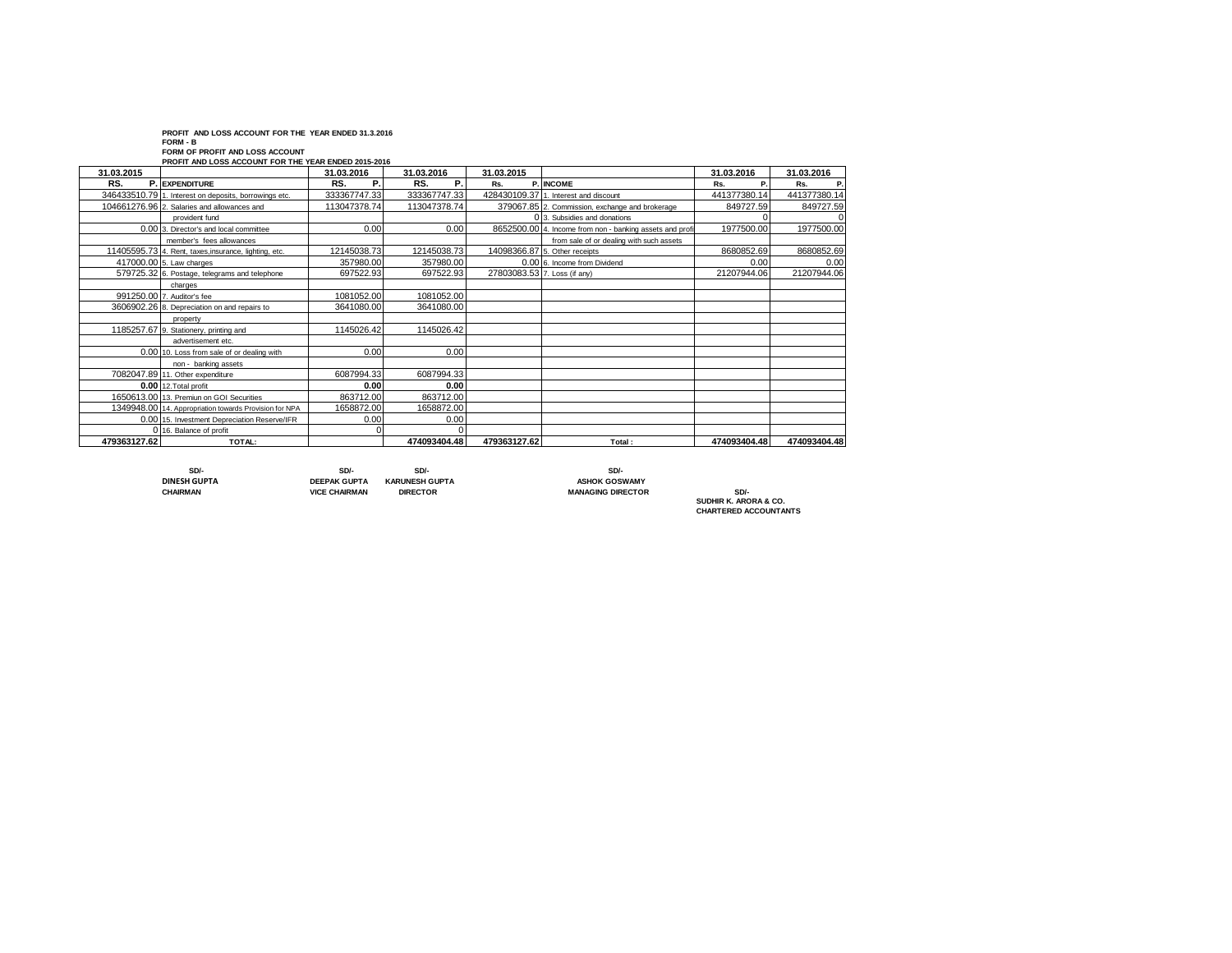**PROFIT AND LOSS ACCOUNT FOR THE YEAR ENDED 31.3.2016**

**FORM - B**

**FORM OF PROFIT AND LOSS ACCOUNT PROFIT AND LOSS ACCOUNT FOR THE YEAR ENDED 2015-2016**

| 31.03.2015   |                                                        | 31.03.2016   | 31.03.2016   | 31.03.2015                   |                                                          | 31.03.2016   | 31.03.2016   |
|--------------|--------------------------------------------------------|--------------|--------------|------------------------------|----------------------------------------------------------|--------------|--------------|
| RS.<br>P.    | <b>EXPENDITURE</b>                                     | RS.<br>Р.    | RS.<br>Р.    | Rs.                          | P. INCOME                                                | P.<br>Rs.    | Rs.          |
|              | 346433510.79 1. Interest on deposits, borrowings etc.  | 333367747.33 | 333367747.33 |                              | 428430109.37 1. Interest and discount                    | 441377380.14 | 441377380.14 |
|              | 104661276.96 2. Salaries and allowances and            | 113047378.74 | 113047378.74 |                              | 379067.85 2. Commission, exchange and brokerage          | 849727.59    | 849727.59    |
|              | provident fund                                         |              |              |                              | 0 3. Subsidies and donations                             |              |              |
|              | 0.00 3. Director's and local committee                 | 0.00         | 0.00         |                              | 8652500.00 4. Income from non - banking assets and profi | 1977500.00   | 1977500.00   |
|              | member's fees allowances                               |              |              |                              | from sale of or dealing with such assets                 |              |              |
|              | 11405595.73 4. Rent, taxes, insurance, lighting, etc.  | 12145038.73  | 12145038.73  |                              | 14098366.87 5. Other receipts                            | 8680852.69   | 8680852.69   |
|              | 417000.00 5. Law charges                               | 357980.00    | 357980.00    |                              | 0.00 6. Income from Dividend                             | 0.00         | 0.00         |
|              | 579725.32 6. Postage, telegrams and telephone          | 697522.93    | 697522.93    | 27803083.53 7. Loss (if any) |                                                          | 21207944.06  | 21207944.06  |
|              | charges                                                |              |              |                              |                                                          |              |              |
|              | 991250.00 7. Auditor's fee                             | 1081052.00   | 1081052.00   |                              |                                                          |              |              |
|              | 3606902.26 8. Depreciation on and repairs to           | 3641080.00   | 3641080.00   |                              |                                                          |              |              |
|              | property                                               |              |              |                              |                                                          |              |              |
|              | 1185257.67 9. Stationery, printing and                 | 1145026.42   | 1145026.42   |                              |                                                          |              |              |
|              | advertisement etc.                                     |              |              |                              |                                                          |              |              |
|              | 0.00 10. Loss from sale of or dealing with             | 0.00         | 0.00         |                              |                                                          |              |              |
|              | non - banking assets                                   |              |              |                              |                                                          |              |              |
|              | 7082047.89 11. Other expenditure                       | 6087994.33   | 6087994.33   |                              |                                                          |              |              |
|              | 0.00 12. Total profit                                  | 0.00         | 0.00         |                              |                                                          |              |              |
|              | 1650613.00 13. Premiun on GOI Securities               | 863712.00    | 863712.00    |                              |                                                          |              |              |
|              | 1349948.00 14. Appropriation towards Provision for NPA | 1658872.00   | 1658872.00   |                              |                                                          |              |              |
|              | 0.00 15. Investment Depreciation Reserve/IFR           | 0.00         | 0.00         |                              |                                                          |              |              |
|              | 0 16. Balance of profit                                |              |              |                              |                                                          |              |              |
| 479363127.62 | TOTAL:                                                 |              | 474093404.48 | 479363127.62                 | Total:                                                   | 474093404.48 | 474093404.48 |

 **SD/- SD/- SD/- SD/- DINESH GUPTA DEEPAK GUPTA KARUNESH GUPTA ASHOK GOSWAMY**

**MANAGING DIRECTOR** 

**SUDHIR K. ARORA & CO. CHARTERED ACCOUNTANTS**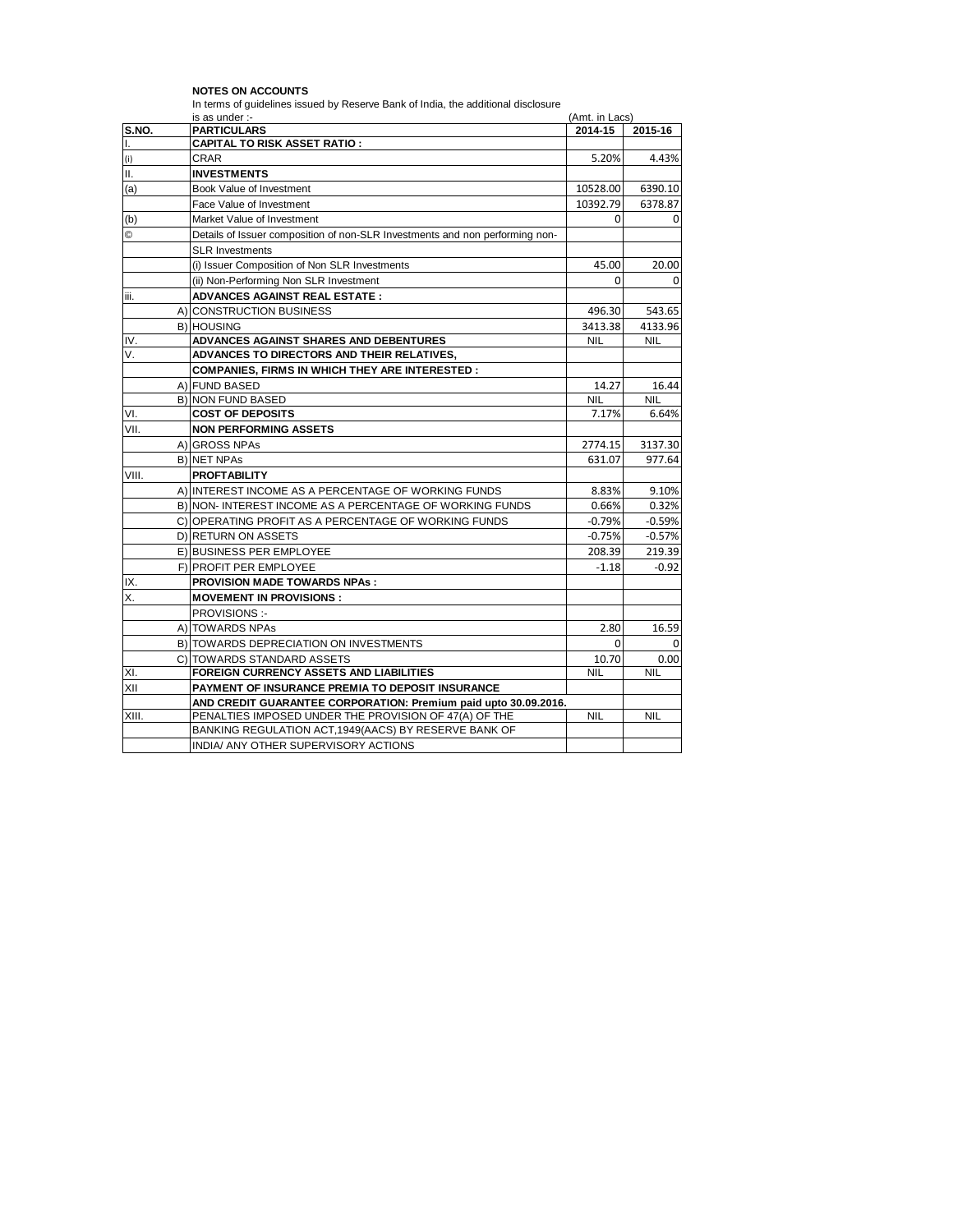|              | In terms of quidelines issued by Reserve Bank of India, the additional disclosure<br>is as under :- | (Amt. in Lacs) |            |
|--------------|-----------------------------------------------------------------------------------------------------|----------------|------------|
| <b>S.NO.</b> | <b>PARTICULARS</b>                                                                                  | 2014-15        | 2015-16    |
| Ι.           | <b>CAPITAL TO RISK ASSET RATIO :</b>                                                                |                |            |
| (i)          | CRAR                                                                                                | 5.20%          | 4.43%      |
| Ш.           | <b>INVESTMENTS</b>                                                                                  |                |            |
| (a)          | Book Value of Investment                                                                            | 10528.00       | 6390.10    |
|              | Face Value of Investment                                                                            | 10392.79       | 6378.87    |
| (b)          | Market Value of Investment                                                                          | 0              | 0          |
| $^{\circ}$   | Details of Issuer composition of non-SLR Investments and non performing non-                        |                |            |
|              | <b>SLR Investments</b>                                                                              |                |            |
|              | (i) Issuer Composition of Non SLR Investments                                                       | 45.00          | 20.00      |
|              | (ii) Non-Performing Non SLR Investment                                                              | 0              | 0          |
| iii.         | <b>ADVANCES AGAINST REAL ESTATE:</b>                                                                |                |            |
|              | A) CONSTRUCTION BUSINESS                                                                            | 496.30         | 543.65     |
|              | <b>B) HOUSING</b>                                                                                   | 3413.38        | 4133.96    |
| IV.          | ADVANCES AGAINST SHARES AND DEBENTURES                                                              | <b>NIL</b>     | <b>NIL</b> |
| V.           | ADVANCES TO DIRECTORS AND THEIR RELATIVES,                                                          |                |            |
|              | <b>COMPANIES. FIRMS IN WHICH THEY ARE INTERESTED:</b>                                               |                |            |
|              | A) FUND BASED                                                                                       | 14.27          | 16.44      |
|              | <b>B) NON FUND BASED</b>                                                                            | <b>NIL</b>     | <b>NIL</b> |
| VI.          | <b>COST OF DEPOSITS</b>                                                                             | 7.17%          | 6.64%      |
| VII.         | <b>NON PERFORMING ASSETS</b>                                                                        |                |            |
|              | A) GROSS NPAs                                                                                       | 2774.15        | 3137.30    |
|              | <b>B) NET NPAs</b>                                                                                  | 631.07         | 977.64     |
| VIII.        | <b>PROFTABILITY</b>                                                                                 |                |            |
|              | A) INTEREST INCOME AS A PERCENTAGE OF WORKING FUNDS                                                 | 8.83%          | 9.10%      |
|              | B) NON-INTEREST INCOME AS A PERCENTAGE OF WORKING FUNDS                                             | 0.66%          | 0.32%      |
|              | C) OPERATING PROFIT AS A PERCENTAGE OF WORKING FUNDS                                                | $-0.79%$       | $-0.59%$   |
|              | D) RETURN ON ASSETS                                                                                 | $-0.75%$       | $-0.57%$   |
|              | E) BUSINESS PER EMPLOYEE                                                                            | 208.39         | 219.39     |
|              | F) PROFIT PER EMPLOYEE                                                                              | $-1.18$        | $-0.92$    |
| IX.          | <b>PROVISION MADE TOWARDS NPAs:</b>                                                                 |                |            |
| Χ.           | <b>MOVEMENT IN PROVISIONS:</b>                                                                      |                |            |
|              | <b>PROVISIONS:-</b>                                                                                 |                |            |
|              | A) TOWARDS NPAs                                                                                     | 2.80           | 16.59      |
|              | B) TOWARDS DEPRECIATION ON INVESTMENTS                                                              | 0              | 0          |
|              | CITOWARDS STANDARD ASSETS                                                                           | 10.70          | 0.00       |
| XI.          | <b>FOREIGN CURRENCY ASSETS AND LIABILITIES</b>                                                      | <b>NIL</b>     | <b>NIL</b> |
| XII          | PAYMENT OF INSURANCE PREMIA TO DEPOSIT INSURANCE                                                    |                |            |
|              | AND CREDIT GUARANTEE CORPORATION: Premium paid upto 30.09.2016.                                     |                |            |
| XIII.        | PENALTIES IMPOSED UNDER THE PROVISION OF 47(A) OF THE                                               | <b>NIL</b>     | <b>NIL</b> |
|              | BANKING REGULATION ACT, 1949(AACS) BY RESERVE BANK OF                                               |                |            |
|              | INDIA/ ANY OTHER SUPERVISORY ACTIONS                                                                |                |            |

**NOTES ON ACCOUNTS**